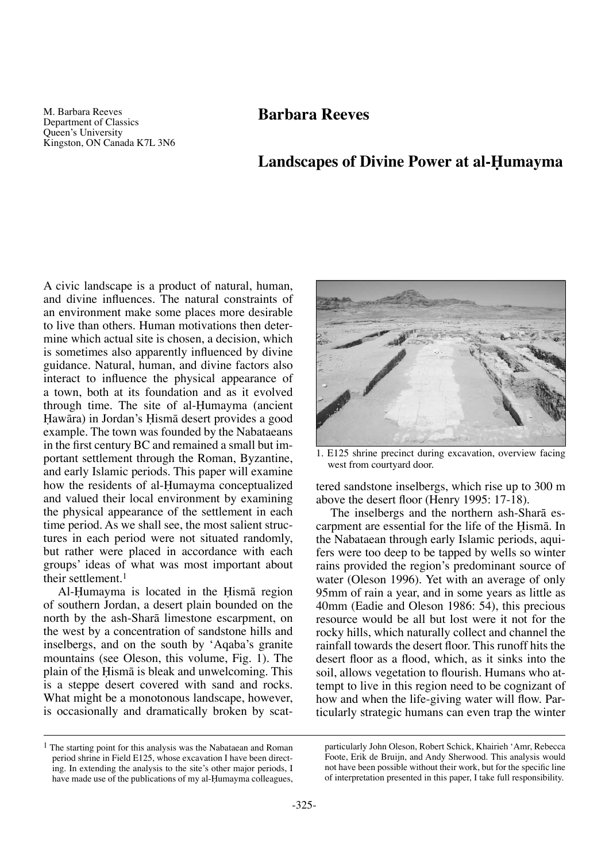M. Barbara Reeves Department of Classics Queen's University Kingston, ON Canada K7L 3N6

# **Landscapes of Divine Power at al-Humayma**

A civic landscape is a product of natural, human, and divine influences. The natural constraints of an environment make some places more desirable to live than others. Human motivations then determine which actual site is chosen, a decision, which is sometimes also apparently influenced by divine guidance. Natural, human, and divine factors also interact to influence the physical appearance of a town, both at its foundation and as it evolved through time. The site of al-Humayma (ancient Hawāra) in Jordan's Hismā desert provides a good example. The town was founded by the Nabataeans in the first century BC and remained a small but important settlement through the Roman, Byzantine, and early Islamic periods. This paper will examine how the residents of al-Humayma conceptualized and valued their local environment by examining the physical appearance of the settlement in each time period. As we shall see, the most salient structures in each period were not situated randomly, but rather were placed in accordance with each groups' ideas of what was most important about their settlement.<sup>1</sup>

Al-Humayma is located in the Hisma region of southern Jordan, a desert plain bounded on the north by the ash-Sharå limestone escarpment, on the west by a concentration of sandstone hills and inselbergs, and on the south by 'Aqaba's granite mountains (see Oleson, this volume, Fig. 1). The plain of the Hisma is bleak and unwelcoming. This is a steppe desert covered with sand and rocks. What might be a monotonous landscape, however, is occasionally and dramatically broken by scat-



1. E125 shrine precinct during excavation, overview facing west from courtyard door.

tered sandstone inselbergs, which rise up to 300 m above the desert floor (Henry 1995: 17-18).

The inselbergs and the northern ash-Sharå escarpment are essential for the life of the Hismä. In the Nabataean through early Islamic periods, aquifers were too deep to be tapped by wells so winter rains provided the region's predominant source of water (Oleson 1996). Yet with an average of only 95mm of rain a year, and in some years as little as 40mm (Eadie and Oleson 1986: 54), this precious resource would be all but lost were it not for the rocky hills, which naturally collect and channel the rainfall towards the desert floor. This runoff hits the desert floor as a flood, which, as it sinks into the soil, allows vegetation to flourish. Humans who attempt to live in this region need to be cognizant of how and when the life-giving water will flow. Particularly strategic humans can even trap the winter

<sup>1</sup> The starting point for this analysis was the Nabataean and Roman period shrine in Field E125, whose excavation I have been directing. In extending the analysis to the site's other major periods, I have made use of the publications of my al-Humayma colleagues,

particularly John Oleson, Robert Schick, Khairieh 'Amr, Rebecca Foote, Erik de Bruijn, and Andy Sherwood. This analysis would not have been possible without their work, but for the specific line of interpretation presented in this paper, I take full responsibility.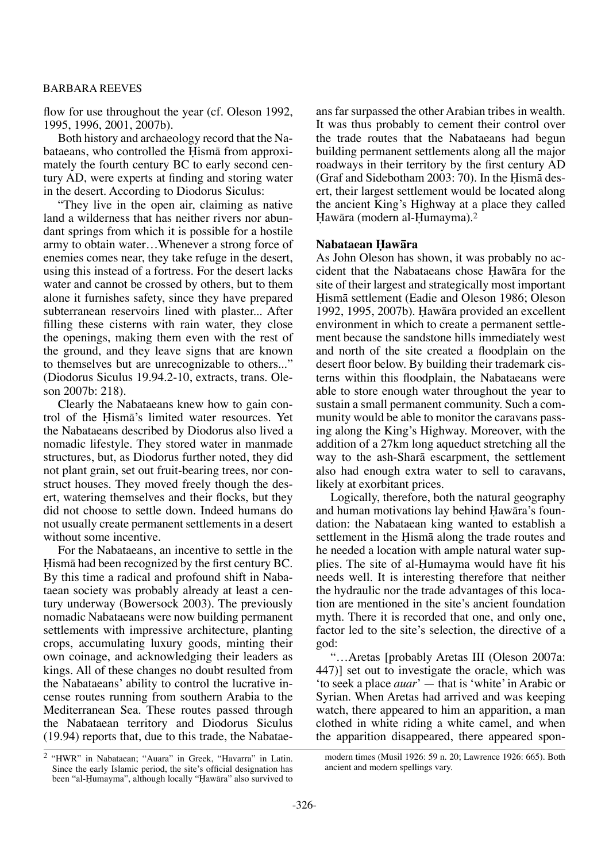flow for use throughout the year (cf. Oleson 1992, 1995, 1996, 2001, 2007b).

Both history and archaeology record that the Nabataeans, who controlled the Hisma from approximately the fourth century BC to early second century AD, were experts at finding and storing water in the desert. According to Diodorus Siculus:

"They live in the open air, claiming as native land a wilderness that has neither rivers nor abundant springs from which it is possible for a hostile army to obtain water…Whenever a strong force of enemies comes near, they take refuge in the desert, using this instead of a fortress. For the desert lacks water and cannot be crossed by others, but to them alone it furnishes safety, since they have prepared subterranean reservoirs lined with plaster... After filling these cisterns with rain water, they close the openings, making them even with the rest of the ground, and they leave signs that are known to themselves but are unrecognizable to others..." (Diodorus Siculus 19.94.2-10, extracts, trans. Oleson 2007b: 218).

Clearly the Nabataeans knew how to gain control of the Hismã's limited water resources. Yet the Nabataeans described by Diodorus also lived a nomadic lifestyle. They stored water in manmade structures, but, as Diodorus further noted, they did not plant grain, set out fruit-bearing trees, nor construct houses. They moved freely though the desert, watering themselves and their flocks, but they did not choose to settle down. Indeed humans do not usually create permanent settlements in a desert without some incentive.

For the Nabataeans, an incentive to settle in the Hismä had been recognized by the first century BC. By this time a radical and profound shift in Nabataean society was probably already at least a century underway (Bowersock 2003). The previously nomadic Nabataeans were now building permanent settlements with impressive architecture, planting crops, accumulating luxury goods, minting their own coinage, and acknowledging their leaders as kings. All of these changes no doubt resulted from the Nabataeans' ability to control the lucrative incense routes running from southern Arabia to the Mediterranean Sea. These routes passed through the Nabataean territory and Diodorus Siculus (19.94) reports that, due to this trade, the Nabataeans far surpassed the other Arabian tribes in wealth. It was thus probably to cement their control over the trade routes that the Nabataeans had begun building permanent settlements along all the major roadways in their territory by the first century AD (Graf and Sidebotham  $2003:70$ ). In the Hisma desert, their largest settlement would be located along the ancient King's Highway at a place they called Hawāra (modern al-Humayma).<sup>2</sup>

### **Nabataean Óawåra**

As John Oleson has shown, it was probably no accident that the Nabataeans chose Hawāra for the site of their largest and strategically most important Hismā settlement (Eadie and Oleson 1986; Oleson 1992, 1995, 2007b). Hawāra provided an excellent environment in which to create a permanent settlement because the sandstone hills immediately west and north of the site created a floodplain on the desert floor below. By building their trademark cisterns within this floodplain, the Nabataeans were able to store enough water throughout the year to sustain a small permanent community. Such a community would be able to monitor the caravans passing along the King's Highway. Moreover, with the addition of a 27km long aqueduct stretching all the way to the ash-Sharå escarpment, the settlement also had enough extra water to sell to caravans, likely at exorbitant prices.

Logically, therefore, both the natural geography and human motivations lay behind Hawāra's foundation: the Nabataean king wanted to establish a settlement in the Hisma along the trade routes and he needed a location with ample natural water supplies. The site of al-Humayma would have fit his needs well. It is interesting therefore that neither the hydraulic nor the trade advantages of this location are mentioned in the site's ancient foundation myth. There it is recorded that one, and only one, factor led to the site's selection, the directive of a god:

"…Aretas [probably Aretas III (Oleson 2007a: 447)] set out to investigate the oracle, which was 'to seek a place *auar*' — that is 'white' in Arabic or Syrian. When Aretas had arrived and was keeping watch, there appeared to him an apparition, a man clothed in white riding a white camel, and when the apparition disappeared, there appeared spon-

modern times (Musil 1926: 59 n. 20; Lawrence 1926: 665). Both ancient and modern spellings vary.

<sup>2</sup> "HWR" in Nabataean; "Auara" in Greek, "Havarra" in Latin. Since the early Islamic period, the site's official designation has been "al-Humayma", although locally "Hawāra" also survived to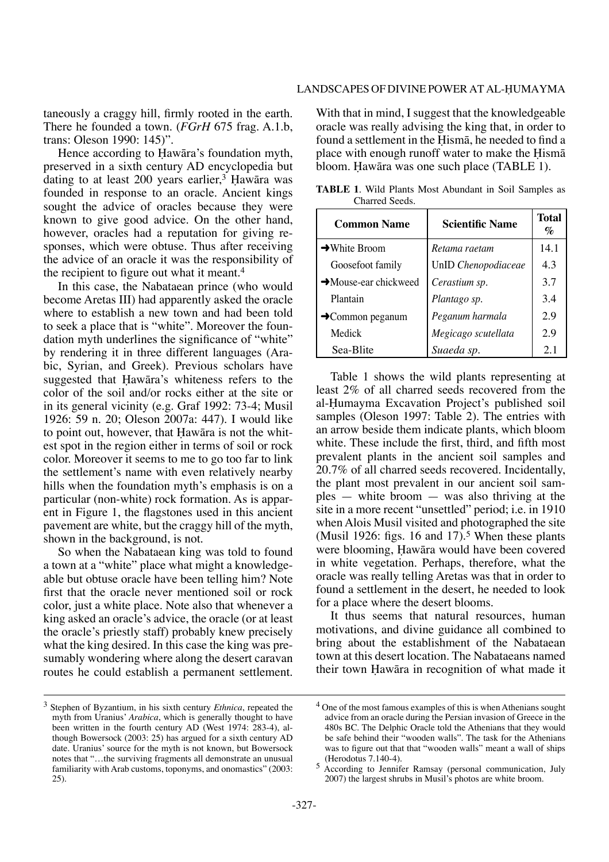taneously a craggy hill, firmly rooted in the earth. There he founded a town. (*FGrH* 675 frag. A.1.b, trans: Oleson 1990: 145)".

Hence according to Hawāra's foundation myth, preserved in a sixth century AD encyclopedia but dating to at least  $200$  years earlier,<sup>3</sup> Hawāra was founded in response to an oracle. Ancient kings sought the advice of oracles because they were known to give good advice. On the other hand, however, oracles had a reputation for giving responses, which were obtuse. Thus after receiving the advice of an oracle it was the responsibility of the recipient to figure out what it meant.<sup>4</sup>

In this case, the Nabataean prince (who would become Aretas III) had apparently asked the oracle where to establish a new town and had been told to seek a place that is "white". Moreover the foundation myth underlines the significance of "white" by rendering it in three different languages (Arabic, Syrian, and Greek). Previous scholars have suggested that Hawāra's whiteness refers to the color of the soil and/or rocks either at the site or in its general vicinity (e.g. Graf 1992: 73-4; Musil 1926: 59 n. 20; Oleson 2007a: 447). I would like to point out, however, that Hawāra is not the whitest spot in the region either in terms of soil or rock color. Moreover it seems to me to go too far to link the settlement's name with even relatively nearby hills when the foundation myth's emphasis is on a particular (non-white) rock formation. As is apparent in Figure 1, the flagstones used in this ancient pavement are white, but the craggy hill of the myth, shown in the background, is not.

So when the Nabataean king was told to found a town at a "white" place what might a knowledgeable but obtuse oracle have been telling him? Note first that the oracle never mentioned soil or rock color, just a white place. Note also that whenever a king asked an oracle's advice, the oracle (or at least the oracle's priestly staff) probably knew precisely what the king desired. In this case the king was presumably wondering where along the desert caravan routes he could establish a permanent settlement.

With that in mind, I suggest that the knowledgeable oracle was really advising the king that, in order to found a settlement in the Hismā, he needed to find a place with enough runoff water to make the Hisma bloom. Hawāra was one such place (TABLE 1).

| <b>Common Name</b>                | <b>Scientific Name</b> | <b>Total</b><br>$\%$ |
|-----------------------------------|------------------------|----------------------|
| $\rightarrow$ White Broom         | Retama raetam          | 14.1                 |
| Goosefoot family                  | UnID Chenopodiaceae    | 4.3                  |
| $\rightarrow$ Mouse-ear chickweed | Cerastium sp.          | 3.7                  |
| Plantain                          | Plantago sp.           | 3.4                  |
| $\rightarrow$ Common peganum      | Peganum harmala        | 2.9                  |
| Medick                            | Megicago scutellata    | 2.9                  |
| Sea-Blite                         | Suaeda sp.             | 2.1                  |

**TABLE 1**. Wild Plants Most Abundant in Soil Samples as Charred Seeds.

Table 1 shows the wild plants representing at least 2% of all charred seeds recovered from the al-Humayma Excavation Project's published soil samples (Oleson 1997: Table 2). The entries with an arrow beside them indicate plants, which bloom white. These include the first, third, and fifth most prevalent plants in the ancient soil samples and 20.7% of all charred seeds recovered. Incidentally, the plant most prevalent in our ancient soil samples — white broom — was also thriving at the site in a more recent "unsettled" period; i.e. in 1910 when Alois Musil visited and photographed the site (Musil 1926: figs. 16 and 17).<sup>5</sup> When these plants were blooming, Hawāra would have been covered in white vegetation. Perhaps, therefore, what the oracle was really telling Aretas was that in order to found a settlement in the desert, he needed to look for a place where the desert blooms.

It thus seems that natural resources, human motivations, and divine guidance all combined to bring about the establishment of the Nabataean town at this desert location. The Nabataeans named their town Hawāra in recognition of what made it

<sup>3</sup> Stephen of Byzantium, in his sixth century *Ethnica*, repeated the myth from Uranius' *Arabica*, which is generally thought to have been written in the fourth century AD (West 1974: 283-4), although Bowersock (2003: 25) has argued for a sixth century AD date. Uranius' source for the myth is not known, but Bowersock notes that "…the surviving fragments all demonstrate an unusual familiarity with Arab customs, toponyms, and onomastics" (2003: 25).

<sup>4</sup> One of the most famous examples of this is when Athenians sought advice from an oracle during the Persian invasion of Greece in the 480s BC. The Delphic Oracle told the Athenians that they would be safe behind their "wooden walls". The task for the Athenians was to figure out that that "wooden walls" meant a wall of ships (Herodotus 7.140-4).

<sup>5</sup> According to Jennifer Ramsay (personal communication, July 2007) the largest shrubs in Musil's photos are white broom.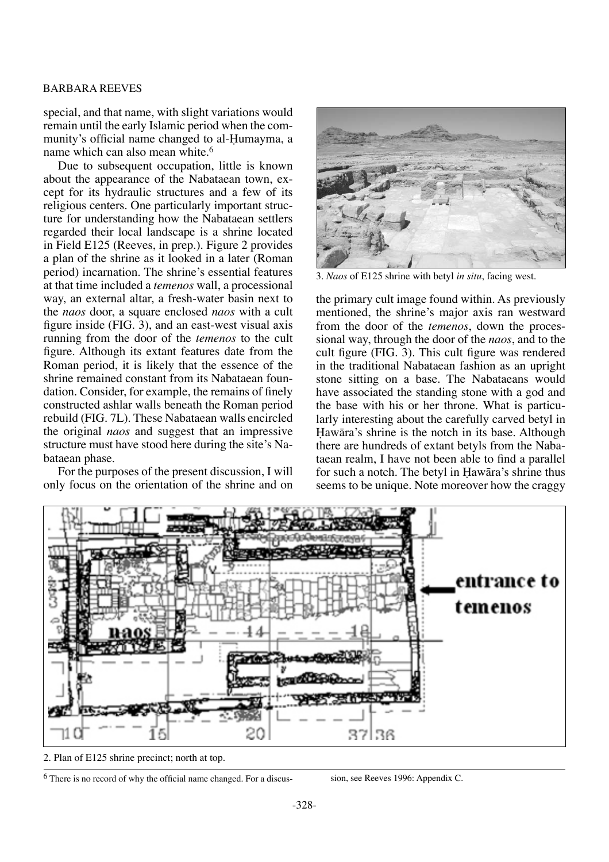special, and that name, with slight variations would remain until the early Islamic period when the community's official name changed to al-Humayma, a name which can also mean white.<sup>6</sup>

Due to subsequent occupation, little is known about the appearance of the Nabataean town, except for its hydraulic structures and a few of its religious centers. One particularly important structure for understanding how the Nabataean settlers regarded their local landscape is a shrine located in Field E125 (Reeves, in prep.). Figure 2 provides a plan of the shrine as it looked in a later (Roman period) incarnation. The shrine's essential features at that time included a *temenos* wall, a processional way, an external altar, a fresh-water basin next to the *naos* door, a square enclosed *naos* with a cult figure inside (FIG. 3), and an east-west visual axis running from the door of the *temenos* to the cult figure. Although its extant features date from the Roman period, it is likely that the essence of the shrine remained constant from its Nabataean foundation. Consider, for example, the remains of finely constructed ashlar walls beneath the Roman period rebuild (FIG. 7L). These Nabataean walls encircled the original *naos* and suggest that an impressive structure must have stood here during the site's Nabataean phase.

For the purposes of the present discussion, I will only focus on the orientation of the shrine and on



3. *Naos* of E125 shrine with betyl *in situ*, facing west.

the primary cult image found within. As previously mentioned, the shrine's major axis ran westward from the door of the *temenos*, down the processional way, through the door of the *naos*, and to the cult figure (FIG. 3). This cult figure was rendered in the traditional Nabataean fashion as an upright stone sitting on a base. The Nabataeans would have associated the standing stone with a god and the base with his or her throne. What is particularly interesting about the carefully carved betyl in Hawāra's shrine is the notch in its base. Although there are hundreds of extant betyls from the Nabataean realm, I have not been able to find a parallel for such a notch. The betyl in Hawāra's shrine thus seems to be unique. Note moreover how the craggy



2. Plan of E125 shrine precinct; north at top.

<sup>6</sup> There is no record of why the official name changed. For a discus- sion, see Reeves 1996: Appendix C.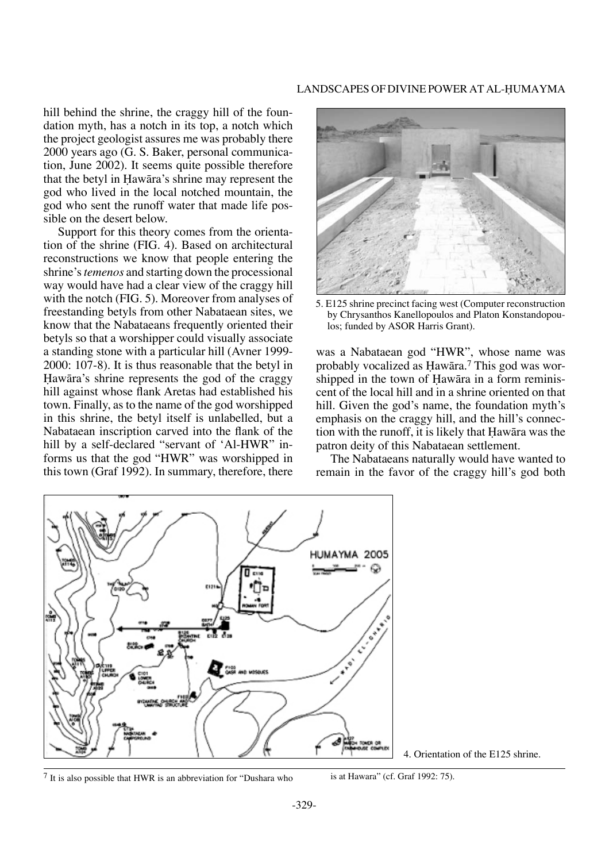hill behind the shrine, the craggy hill of the foundation myth, has a notch in its top, a notch which the project geologist assures me was probably there 2000 years ago (G. S. Baker, personal communication, June 2002). It seems quite possible therefore that the betyl in Hawāra's shrine may represent the god who lived in the local notched mountain, the god who sent the runoff water that made life possible on the desert below.

Support for this theory comes from the orientation of the shrine (FIG. 4). Based on architectural reconstructions we know that people entering the shrine's *temenos* and starting down the processional way would have had a clear view of the craggy hill with the notch (FIG. 5). Moreover from analyses of freestanding betyls from other Nabataean sites, we know that the Nabataeans frequently oriented their betyls so that a worshipper could visually associate a standing stone with a particular hill (Avner 1999- 2000: 107-8). It is thus reasonable that the betyl in Hawāra's shrine represents the god of the craggy hill against whose flank Aretas had established his town. Finally, as to the name of the god worshipped in this shrine, the betyl itself is unlabelled, but a Nabataean inscription carved into the flank of the hill by a self-declared "servant of 'Al-HWR" informs us that the god "HWR" was worshipped in this town (Graf 1992). In summary, therefore, there



5. E125 shrine precinct facing west (Computer reconstruction by Chrysanthos Kanellopoulos and Platon Konstandopoulos; funded by ASOR Harris Grant).

was a Nabataean god "HWR", whose name was probably vocalized as Hawāra.<sup>7</sup> This god was worshipped in the town of Hawāra in a form reminiscent of the local hill and in a shrine oriented on that hill. Given the god's name, the foundation myth's emphasis on the craggy hill, and the hill's connection with the runoff, it is likely that Hawāra was the patron deity of this Nabataean settlement.

The Nabataeans naturally would have wanted to remain in the favor of the craggy hill's god both



4. Orientation of the E125 shrine.

 $7$  It is also possible that HWR is an abbreviation for "Dushara who is at Hawara" (cf. Graf 1992: 75).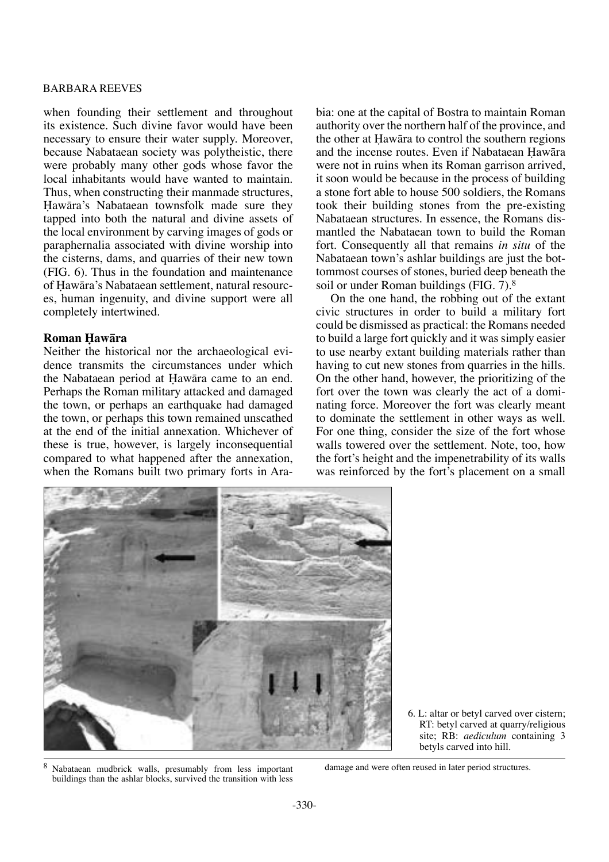when founding their settlement and throughout its existence. Such divine favor would have been necessary to ensure their water supply. Moreover, because Nabataean society was polytheistic, there were probably many other gods whose favor the local inhabitants would have wanted to maintain. Thus, when constructing their manmade structures, Hawāra's Nabataean townsfolk made sure they tapped into both the natural and divine assets of the local environment by carving images of gods or paraphernalia associated with divine worship into the cisterns, dams, and quarries of their new town (FIG. 6). Thus in the foundation and maintenance of Hawāra's Nabataean settlement, natural resources, human ingenuity, and divine support were all completely intertwined.

## **Roman Hawāra**

Neither the historical nor the archaeological evidence transmits the circumstances under which the Nabataean period at Hawāra came to an end. Perhaps the Roman military attacked and damaged the town, or perhaps an earthquake had damaged the town, or perhaps this town remained unscathed at the end of the initial annexation. Whichever of these is true, however, is largely inconsequential compared to what happened after the annexation, when the Romans built two primary forts in Arabia: one at the capital of Bostra to maintain Roman authority over the northern half of the province, and the other at Hawāra to control the southern regions and the incense routes. Even if Nabataean Hawāra were not in ruins when its Roman garrison arrived, it soon would be because in the process of building a stone fort able to house 500 soldiers, the Romans took their building stones from the pre-existing Nabataean structures. In essence, the Romans dismantled the Nabataean town to build the Roman fort. Consequently all that remains *in situ* of the Nabataean town's ashlar buildings are just the bottommost courses of stones, buried deep beneath the soil or under Roman buildings (FIG. 7).<sup>8</sup>

On the one hand, the robbing out of the extant civic structures in order to build a military fort could be dismissed as practical: the Romans needed to build a large fort quickly and it was simply easier to use nearby extant building materials rather than having to cut new stones from quarries in the hills. On the other hand, however, the prioritizing of the fort over the town was clearly the act of a dominating force. Moreover the fort was clearly meant to dominate the settlement in other ways as well. For one thing, consider the size of the fort whose walls towered over the settlement. Note, too, how the fort's height and the impenetrability of its walls was reinforced by the fort's placement on a small



6. L: altar or betyl carved over cistern; RT: betyl carved at quarry/religious site; RB: *aediculum* containing 3 betyls carved into hill.

<sup>8</sup> Nabataean mudbrick walls, presumably from less important buildings than the ashlar blocks, survived the transition with less damage and were often reused in later period structures.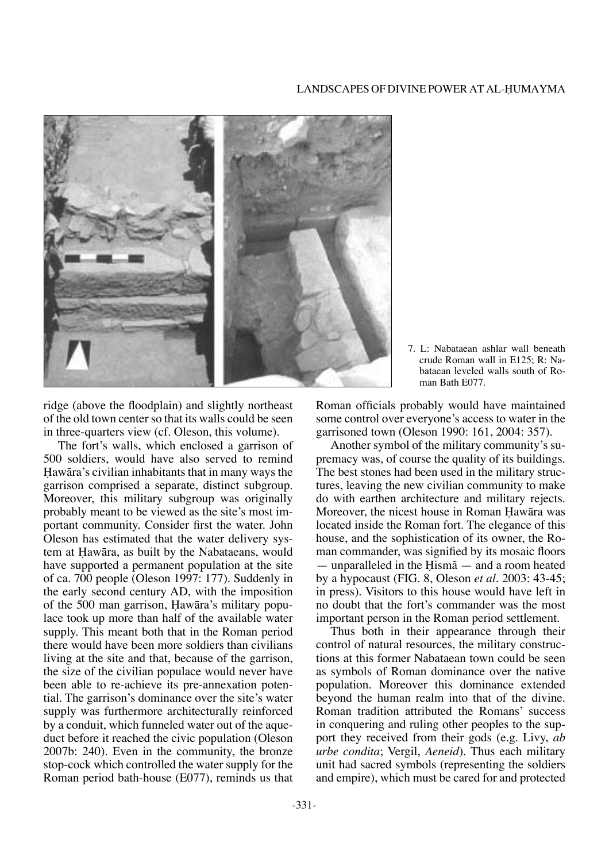

ridge (above the floodplain) and slightly northeast of the old town center so that its walls could be seen in three-quarters view (cf. Oleson, this volume).

The fort's walls, which enclosed a garrison of 500 soldiers, would have also served to remind Hawāra's civilian inhabitants that in many ways the garrison comprised a separate, distinct subgroup. Moreover, this military subgroup was originally probably meant to be viewed as the site's most important community. Consider first the water. John Oleson has estimated that the water delivery system at Hawāra, as built by the Nabataeans, would have supported a permanent population at the site of ca. 700 people (Oleson 1997: 177). Suddenly in the early second century AD, with the imposition of the 500 man garrison, Hawāra's military populace took up more than half of the available water supply. This meant both that in the Roman period there would have been more soldiers than civilians living at the site and that, because of the garrison, the size of the civilian populace would never have been able to re-achieve its pre-annexation potential. The garrison's dominance over the site's water supply was furthermore architecturally reinforced by a conduit, which funneled water out of the aqueduct before it reached the civic population (Oleson 2007b: 240). Even in the community, the bronze stop-cock which controlled the water supply for the Roman period bath-house (E077), reminds us that

7. L: Nabataean ashlar wall beneath crude Roman wall in E125; R: Nabataean leveled walls south of Roman Bath E077.

Roman officials probably would have maintained some control over everyone's access to water in the garrisoned town (Oleson 1990: 161, 2004: 357).

Another symbol of the military community's supremacy was, of course the quality of its buildings. The best stones had been used in the military structures, leaving the new civilian community to make do with earthen architecture and military rejects. Moreover, the nicest house in Roman Hawāra was located inside the Roman fort. The elegance of this house, and the sophistication of its owner, the Roman commander, was signified by its mosaic floors — unparalleled in the Hism $\bar{a}$  — and a room heated by a hypocaust (FIG. 8, Oleson *et al.* 2003: 43-45; in press). Visitors to this house would have left in no doubt that the fort's commander was the most important person in the Roman period settlement.

Thus both in their appearance through their control of natural resources, the military constructions at this former Nabataean town could be seen as symbols of Roman dominance over the native population. Moreover this dominance extended beyond the human realm into that of the divine. Roman tradition attributed the Romans' success in conquering and ruling other peoples to the support they received from their gods (e.g. Livy, *ab urbe condita*; Vergil, *Aeneid*). Thus each military unit had sacred symbols (representing the soldiers and empire), which must be cared for and protected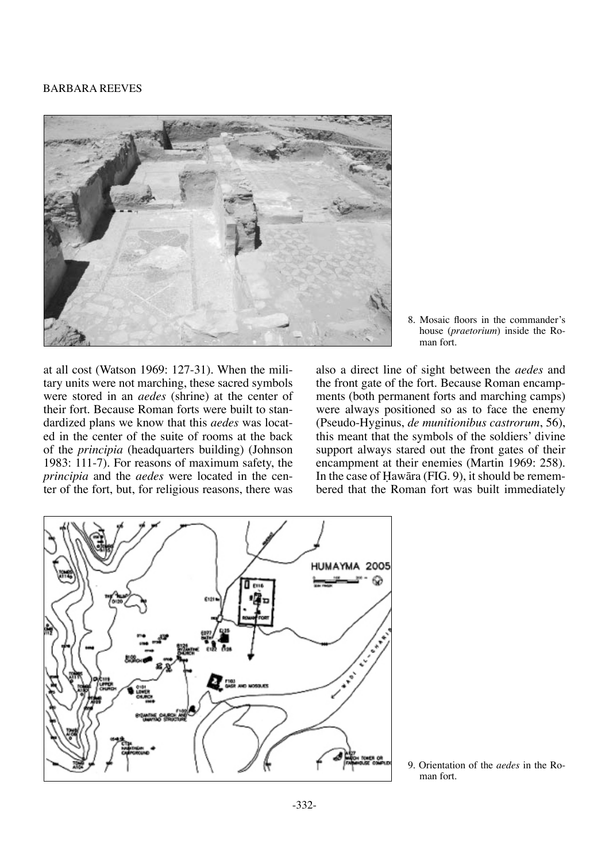

8. Mosaic floors in the commander's house (*praetorium*) inside the Roman fort.

at all cost (Watson 1969: 127-31). When the military units were not marching, these sacred symbols were stored in an *aedes* (shrine) at the center of their fort. Because Roman forts were built to standardized plans we know that this *aedes* was located in the center of the suite of rooms at the back of the *principia* (headquarters building) (Johnson 1983: 111-7). For reasons of maximum safety, the *principia* and the *aedes* were located in the center of the fort, but, for religious reasons, there was

also a direct line of sight between the *aedes* and the front gate of the fort. Because Roman encampments (both permanent forts and marching camps) were always positioned so as to face the enemy (Pseudo-Hyginus, *de munitionibus castrorum*, 56), this meant that the symbols of the soldiers' divine support always stared out the front gates of their encampment at their enemies (Martin 1969: 258). In the case of Hawāra (FIG. 9), it should be remembered that the Roman fort was built immediately



9. Orientation of the *aedes* in the Roman fort.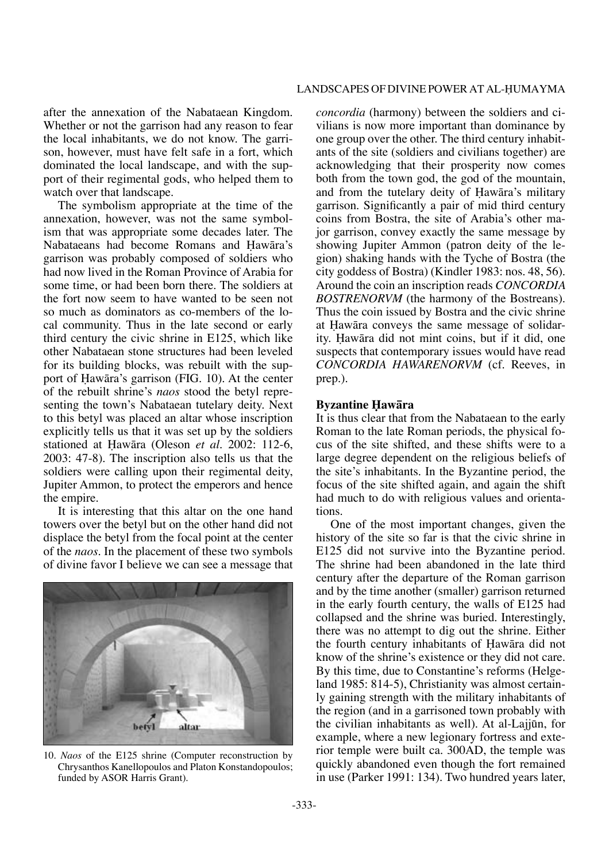after the annexation of the Nabataean Kingdom. Whether or not the garrison had any reason to fear the local inhabitants, we do not know. The garrison, however, must have felt safe in a fort, which dominated the local landscape, and with the support of their regimental gods, who helped them to watch over that landscape.

The symbolism appropriate at the time of the annexation, however, was not the same symbolism that was appropriate some decades later. The Nabataeans had become Romans and Hawāra's garrison was probably composed of soldiers who had now lived in the Roman Province of Arabia for some time, or had been born there. The soldiers at the fort now seem to have wanted to be seen not so much as dominators as co-members of the local community. Thus in the late second or early third century the civic shrine in E125, which like other Nabataean stone structures had been leveled for its building blocks, was rebuilt with the support of Hawāra's garrison (FIG. 10). At the center of the rebuilt shrine's *naos* stood the betyl representing the town's Nabataean tutelary deity. Next to this betyl was placed an altar whose inscription explicitly tells us that it was set up by the soldiers stationed at Hawāra (Oleson *et al.* 2002: 112-6, 2003: 47-8). The inscription also tells us that the soldiers were calling upon their regimental deity, Jupiter Ammon, to protect the emperors and hence the empire.

It is interesting that this altar on the one hand towers over the betyl but on the other hand did not displace the betyl from the focal point at the center of the *naos*. In the placement of these two symbols of divine favor I believe we can see a message that



10. *Naos* of the E125 shrine (Computer reconstruction by Chrysanthos Kanellopoulos and Platon Konstandopoulos; funded by ASOR Harris Grant).

*concordia* (harmony) between the soldiers and civilians is now more important than dominance by one group over the other. The third century inhabitants of the site (soldiers and civilians together) are acknowledging that their prosperity now comes both from the town god, the god of the mountain, and from the tutelary deity of Hawāra's military garrison. Significantly a pair of mid third century coins from Bostra, the site of Arabia's other major garrison, convey exactly the same message by showing Jupiter Ammon (patron deity of the legion) shaking hands with the Tyche of Bostra (the city goddess of Bostra) (Kindler 1983: nos. 48, 56). Around the coin an inscription reads *CONCORDIA BOSTRENORVM* (the harmony of the Bostreans). Thus the coin issued by Bostra and the civic shrine at Hawāra conveys the same message of solidarity. Hawāra did not mint coins, but if it did, one suspects that contemporary issues would have read *CONCORDIA HAWARENORVM* (cf. Reeves, in prep.).

#### **Byzantine Hawāra**

It is thus clear that from the Nabataean to the early Roman to the late Roman periods, the physical focus of the site shifted, and these shifts were to a large degree dependent on the religious beliefs of the site's inhabitants. In the Byzantine period, the focus of the site shifted again, and again the shift had much to do with religious values and orientations.

One of the most important changes, given the history of the site so far is that the civic shrine in E125 did not survive into the Byzantine period. The shrine had been abandoned in the late third century after the departure of the Roman garrison and by the time another (smaller) garrison returned in the early fourth century, the walls of E125 had collapsed and the shrine was buried. Interestingly, there was no attempt to dig out the shrine. Either the fourth century inhabitants of Hawāra did not know of the shrine's existence or they did not care. By this time, due to Constantine's reforms (Helgeland 1985: 814-5), Christianity was almost certainly gaining strength with the military inhabitants of the region (and in a garrisoned town probably with the civilian inhabitants as well). At al-Lajjøn, for example, where a new legionary fortress and exterior temple were built ca. 300AD, the temple was quickly abandoned even though the fort remained in use (Parker 1991: 134). Two hundred years later,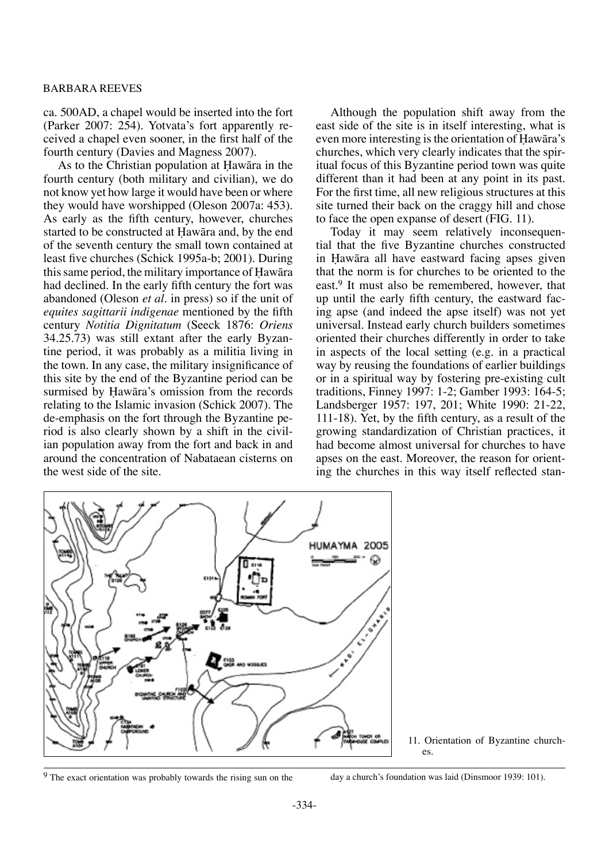ca. 500AD, a chapel would be inserted into the fort (Parker 2007: 254). Yotvata's fort apparently received a chapel even sooner, in the first half of the fourth century (Davies and Magness 2007).

As to the Christian population at Hawāra in the fourth century (both military and civilian), we do not know yet how large it would have been or where they would have worshipped (Oleson 2007a: 453). As early as the fifth century, however, churches started to be constructed at Hawāra and, by the end of the seventh century the small town contained at least five churches (Schick 1995a-b; 2001). During this same period, the military importance of Hawāra had declined. In the early fifth century the fort was abandoned (Oleson *et al.* in press) so if the unit of *equites sagittarii indigenae* mentioned by the fifth century *Notitia Dignitatum* (Seeck 1876: *Oriens* 34.25.73) was still extant after the early Byzantine period, it was probably as a militia living in the town. In any case, the military insignificance of this site by the end of the Byzantine period can be surmised by Hawāra's omission from the records relating to the Islamic invasion (Schick 2007). The de-emphasis on the fort through the Byzantine period is also clearly shown by a shift in the civilian population away from the fort and back in and around the concentration of Nabataean cisterns on the west side of the site.

Although the population shift away from the east side of the site is in itself interesting, what is even more interesting is the orientation of Hawāra's churches, which very clearly indicates that the spiritual focus of this Byzantine period town was quite different than it had been at any point in its past. For the first time, all new religious structures at this site turned their back on the craggy hill and chose to face the open expanse of desert (FIG. 11).

Today it may seem relatively inconsequential that the five Byzantine churches constructed in Hawāra all have eastward facing apses given that the norm is for churches to be oriented to the east.9 It must also be remembered, however, that up until the early fifth century, the eastward facing apse (and indeed the apse itself) was not yet universal. Instead early church builders sometimes oriented their churches differently in order to take in aspects of the local setting (e.g. in a practical way by reusing the foundations of earlier buildings or in a spiritual way by fostering pre-existing cult traditions, Finney 1997: 1-2; Gamber 1993: 164-5; Landsberger 1957: 197, 201; White 1990: 21-22, 111-18). Yet, by the fifth century, as a result of the growing standardization of Christian practices, it had become almost universal for churches to have apses on the east. Moreover, the reason for orienting the churches in this way itself reflected stan-



<sup>11.</sup> Orientation of Byzantine church-

<sup>9</sup> The exact orientation was probably towards the rising sun on the day a church's foundation was laid (Dinsmoor 1939: 101).

es.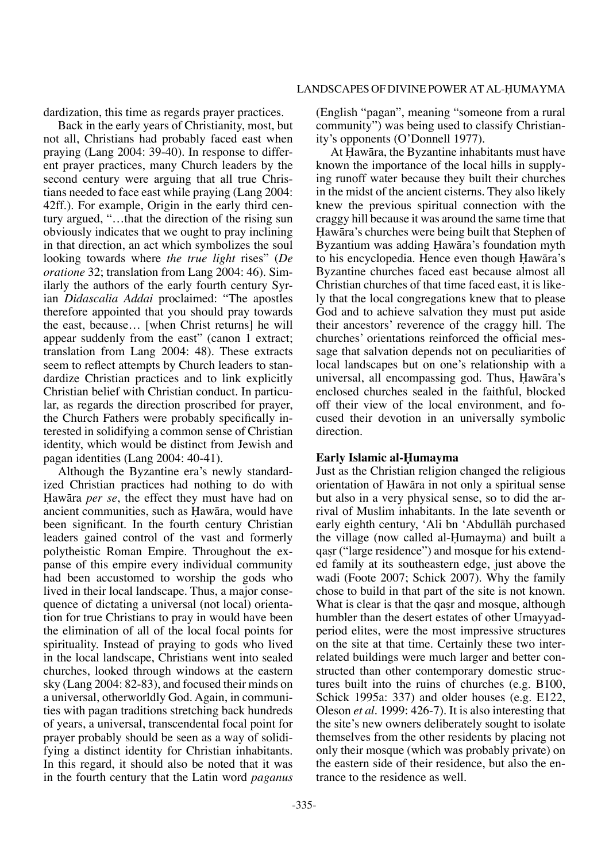dardization, this time as regards prayer practices.

Back in the early years of Christianity, most, but not all, Christians had probably faced east when praying (Lang 2004: 39-40). In response to different prayer practices, many Church leaders by the second century were arguing that all true Christians needed to face east while praying (Lang 2004: 42ff.). For example, Origin in the early third century argued, "…that the direction of the rising sun obviously indicates that we ought to pray inclining in that direction, an act which symbolizes the soul looking towards where *the true light* rises" (*De oratione* 32; translation from Lang 2004: 46). Similarly the authors of the early fourth century Syrian *Didascalia Addai* proclaimed: "The apostles therefore appointed that you should pray towards the east, because… [when Christ returns] he will appear suddenly from the east" (canon 1 extract; translation from Lang 2004: 48). These extracts seem to reflect attempts by Church leaders to standardize Christian practices and to link explicitly Christian belief with Christian conduct. In particular, as regards the direction proscribed for prayer, the Church Fathers were probably specifically interested in solidifying a common sense of Christian identity, which would be distinct from Jewish and pagan identities (Lang 2004: 40-41).

Although the Byzantine era's newly standardized Christian practices had nothing to do with Hawāra *per se*, the effect they must have had on ancient communities, such as Hawāra, would have been significant. In the fourth century Christian leaders gained control of the vast and formerly polytheistic Roman Empire. Throughout the expanse of this empire every individual community had been accustomed to worship the gods who lived in their local landscape. Thus, a major consequence of dictating a universal (not local) orientation for true Christians to pray in would have been the elimination of all of the local focal points for spirituality. Instead of praying to gods who lived in the local landscape, Christians went into sealed churches, looked through windows at the eastern sky (Lang 2004: 82-83), and focused their minds on a universal, otherworldly God. Again, in communities with pagan traditions stretching back hundreds of years, a universal, transcendental focal point for prayer probably should be seen as a way of solidifying a distinct identity for Christian inhabitants. In this regard, it should also be noted that it was in the fourth century that the Latin word *paganus* (English "pagan", meaning "someone from a rural community") was being used to classify Christianity's opponents (O'Donnell 1977).

At Hawāra, the Byzantine inhabitants must have known the importance of the local hills in supplying runoff water because they built their churches in the midst of the ancient cisterns. They also likely knew the previous spiritual connection with the craggy hill because it was around the same time that Hawāra's churches were being built that Stephen of Byzantium was adding Hawāra's foundation myth to his encyclopedia. Hence even though Hawāra's Byzantine churches faced east because almost all Christian churches of that time faced east, it is likely that the local congregations knew that to please God and to achieve salvation they must put aside their ancestors' reverence of the craggy hill. The churches' orientations reinforced the official message that salvation depends not on peculiarities of local landscapes but on one's relationship with a universal, all encompassing god. Thus, Hawāra's enclosed churches sealed in the faithful, blocked off their view of the local environment, and focused their devotion in an universally symbolic direction.

## **Early Islamic al-Humayma**

Just as the Christian religion changed the religious orientation of Hawāra in not only a spiritual sense but also in a very physical sense, so to did the arrival of Muslim inhabitants. In the late seventh or early eighth century, 'Ali bn 'Abdullåh purchased the village (now called al-Humayma) and built a qasr ("large residence") and mosque for his extended family at its southeastern edge, just above the wadi (Foote 2007; Schick 2007). Why the family chose to build in that part of the site is not known. What is clear is that the gasr and mosque, although humbler than the desert estates of other Umayyadperiod elites, were the most impressive structures on the site at that time. Certainly these two interrelated buildings were much larger and better constructed than other contemporary domestic structures built into the ruins of churches (e.g. B100, Schick 1995a: 337) and older houses (e.g. E122, Oleson *et al.* 1999: 426-7). It is also interesting that the site's new owners deliberately sought to isolate themselves from the other residents by placing not only their mosque (which was probably private) on the eastern side of their residence, but also the entrance to the residence as well.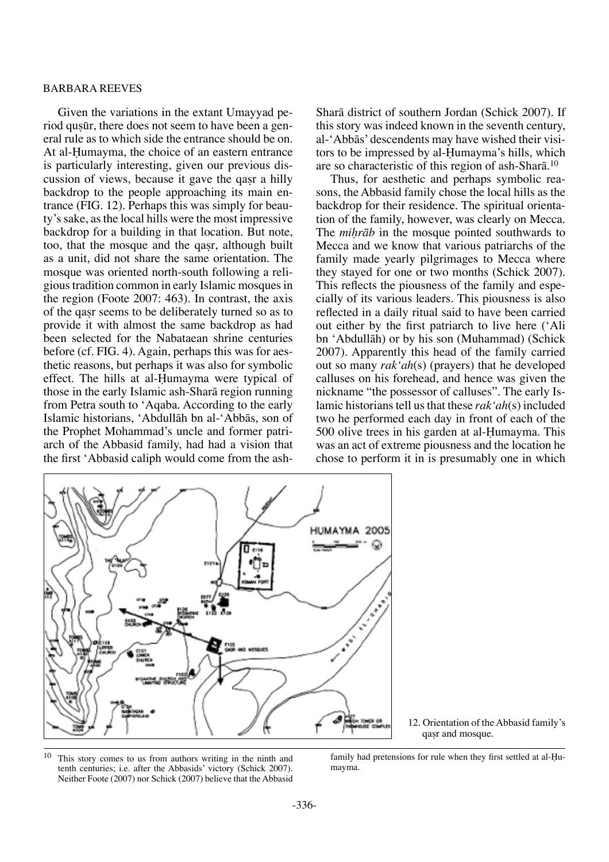Given the variations in the extant Umayyad period qusūr, there does not seem to have been a general rule as to which side the entrance should be on. At al-Humayma, the choice of an eastern entrance is particularly interesting, given our previous discussion of views, because it gave the qasr a hilly backdrop to the people approaching its main entrance (FIG. 12). Perhaps this was simply for beauty's sake, as the local hills were the most impressive backdrop for a building in that location. But note, too, that the mosque and the qasr, although built as a unit, did not share the same orientation. The mosque was oriented north-south following a religious tradition common in early Islamic mosques in the region (Foote 2007: 463). In contrast, the axis of the qaßr seems to be deliberately turned so as to provide it with almost the same backdrop as had been selected for the Nabataean shrine centuries before (cf. FIG. 4). Again, perhaps this was for aesthetic reasons, but perhaps it was also for symbolic effect. The hills at al-Humayma were typical of those in the early Islamic ash-Sharå region running from Petra south to 'Aqaba. According to the early Islamic historians, 'Abdullåh bn al-'Abbås, son of the Prophet Mohammad's uncle and former patriarch of the Abbasid family, had had a vision that the first 'Abbasid caliph would come from the ashSharå district of southern Jordan (Schick 2007). If this story was indeed known in the seventh century, al-'Abbås' descendents may have wished their visitors to be impressed by al-Humayma's hills, which are so characteristic of this region of ash-Sharå. 10

Thus, for aesthetic and perhaps symbolic reasons, the Abbasid family chose the local hills as the backdrop for their residence. The spiritual orientation of the family, however, was clearly on Mecca. The *mihrāb* in the mosque pointed southwards to Mecca and we know that various patriarchs of the family made yearly pilgrimages to Mecca where they stayed for one or two months (Schick 2007). This reflects the piousness of the family and especially of its various leaders. This piousness is also reflected in a daily ritual said to have been carried out either by the first patriarch to live here ('Ali bn 'Abdullåh) or by his son (Muhammad) (Schick 2007). Apparently this head of the family carried out so many *rak'ah*(s) (prayers) that he developed calluses on his forehead, and hence was given the nickname "the possessor of calluses". The early Islamic historians tell us that these *rak'ah*(s) included two he performed each day in front of each of the 500 olive trees in his garden at al-Humayma. This was an act of extreme piousness and the location he chose to perform it in is presumably one in which



12. Orientation of the Abbasid family's qaßr and mosque.

<sup>10</sup> This story comes to us from authors writing in the ninth and tenth centuries; i.e. after the Abbasids' victory (Schick 2007). Neither Foote (2007) nor Schick (2007) believe that the Abbasid

family had pretensions for rule when they first settled at al-Humayma.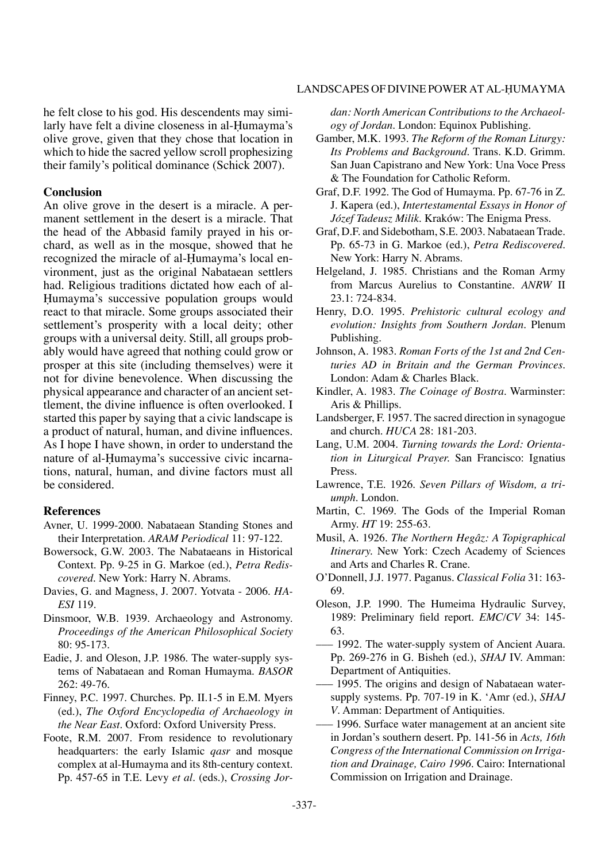he felt close to his god. His descendents may similarly have felt a divine closeness in al-Humayma's olive grove, given that they chose that location in which to hide the sacred yellow scroll prophesizing their family's political dominance (Schick 2007).

#### **Conclusion**

An olive grove in the desert is a miracle. A permanent settlement in the desert is a miracle. That the head of the Abbasid family prayed in his orchard, as well as in the mosque, showed that he recognized the miracle of al-Humayma's local environment, just as the original Nabataean settlers had. Religious traditions dictated how each of al-Humayma's successive population groups would react to that miracle. Some groups associated their settlement's prosperity with a local deity; other groups with a universal deity. Still, all groups probably would have agreed that nothing could grow or prosper at this site (including themselves) were it not for divine benevolence. When discussing the physical appearance and character of an ancient settlement, the divine influence is often overlooked. I started this paper by saying that a civic landscape is a product of natural, human, and divine influences. As I hope I have shown, in order to understand the nature of al-Humayma's successive civic incarnations, natural, human, and divine factors must all be considered.

#### **References**

- Avner, U. 1999-2000. Nabataean Standing Stones and their Interpretation. *ARAM Periodical* 11: 97-122.
- Bowersock, G.W. 2003. The Nabataeans in Historical Context. Pp. 9-25 in G. Markoe (ed.), *Petra Rediscovered*. New York: Harry N. Abrams.
- Davies, G. and Magness, J. 2007. Yotvata 2006. *HA-ESI* 119.
- Dinsmoor, W.B. 1939. Archaeology and Astronomy. *Proceedings of the American Philosophical Society* 80: 95-173.
- Eadie, J. and Oleson, J.P. 1986. The water-supply systems of Nabataean and Roman Humayma. *BASOR* 262: 49-76.
- Finney, P.C. 1997. Churches. Pp. II.1-5 in E.M. Myers (ed.), *The Oxford Encyclopedia of Archaeology in the Near East*. Oxford: Oxford University Press.
- Foote, R.M. 2007. From residence to revolutionary headquarters: the early Islamic *qasr* and mosque complex at al-Humayma and its 8th-century context. Pp. 457-65 in T.E. Levy *et al.* (eds.), *Crossing Jor-*

*dan: North American Contributions to the Archaeology of Jordan.* London: Equinox Publishing.

- Gamber, M.K. 1993. *The Reform of the Roman Liturgy: Its Problems and Background.* Trans. K.D. Grimm. San Juan Capistrano and New York: Una Voce Press & The Foundation for Catholic Reform.
- Graf, D.F. 1992. The God of Humayma. Pp. 67-76 in Z. J. Kapera (ed.), *Intertestamental Essays in Honor of Józef Tadeusz Milik*. Kraków: The Enigma Press.
- Graf, D.F. and Sidebotham, S.E. 2003. Nabataean Trade. Pp. 65-73 in G. Markoe (ed.), *Petra Rediscovered*. New York: Harry N. Abrams.
- Helgeland, J. 1985. Christians and the Roman Army from Marcus Aurelius to Constantine. *ANRW* II 23.1: 724-834.
- Henry, D.O. 1995. *Prehistoric cultural ecology and evolution: Insights from Southern Jordan.* Plenum Publishing.
- Johnson, A. 1983. *Roman Forts of the 1st and 2nd Centuries AD in Britain and the German Provinces.* London: Adam & Charles Black.
- Kindler, A. 1983. *The Coinage of Bostra.* Warminster: Aris & Phillips.
- Landsberger, F. 1957. The sacred direction in synagogue and church. *HUCA* 28: 181-203.
- Lang, U.M. 2004. *Turning towards the Lord: Orientation in Liturgical Prayer.* San Francisco: Ignatius Press.
- Lawrence, T.E. 1926. *Seven Pillars of Wisdom, a triumph*. London.
- Martin, C. 1969. The Gods of the Imperial Roman Army. *HT* 19: 255-63.
- Musil, A. 1926. *The Northern Hegâz: A Topigraphical Itinerary.* New York: Czech Academy of Sciences and Arts and Charles R. Crane.
- O'Donnell, J.J. 1977. Paganus. *Classical Folia* 31: 163- 69.
- Oleson, J.P. 1990. The Humeima Hydraulic Survey, 1989: Preliminary field report. *EMC/CV* 34: 145- 63.
- 1992. The water-supply system of Ancient Auara. Pp. 269-276 in G. Bisheh (ed.), *SHAJ* IV. Amman: Department of Antiquities.
- ––– 1995. The origins and design of Nabataean watersupply systems. Pp. 707-19 in K. 'Amr (ed.), *SHAJ V*. Amman: Department of Antiquities.
- ––– 1996. Surface water management at an ancient site in Jordan's southern desert. Pp. 141-56 in *Acts, 16th Congress of the International Commission on Irrigation and Drainage, Cairo 1996*. Cairo: International Commission on Irrigation and Drainage.